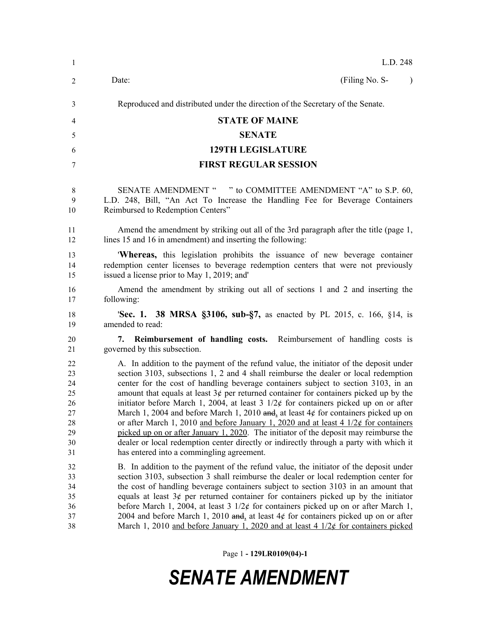| $\mathbf{1}$                                             | L.D. 248                                                                                                                                                                                                                                                                                                                                                                                                                                                                                                                                                                                                                                                                                                                                                                                                                                                                             |
|----------------------------------------------------------|--------------------------------------------------------------------------------------------------------------------------------------------------------------------------------------------------------------------------------------------------------------------------------------------------------------------------------------------------------------------------------------------------------------------------------------------------------------------------------------------------------------------------------------------------------------------------------------------------------------------------------------------------------------------------------------------------------------------------------------------------------------------------------------------------------------------------------------------------------------------------------------|
| 2                                                        | (Filing No. S-<br>Date:<br>$\lambda$                                                                                                                                                                                                                                                                                                                                                                                                                                                                                                                                                                                                                                                                                                                                                                                                                                                 |
| 3                                                        | Reproduced and distributed under the direction of the Secretary of the Senate.                                                                                                                                                                                                                                                                                                                                                                                                                                                                                                                                                                                                                                                                                                                                                                                                       |
| 4                                                        | <b>STATE OF MAINE</b>                                                                                                                                                                                                                                                                                                                                                                                                                                                                                                                                                                                                                                                                                                                                                                                                                                                                |
| 5                                                        | <b>SENATE</b>                                                                                                                                                                                                                                                                                                                                                                                                                                                                                                                                                                                                                                                                                                                                                                                                                                                                        |
| 6                                                        | <b>129TH LEGISLATURE</b>                                                                                                                                                                                                                                                                                                                                                                                                                                                                                                                                                                                                                                                                                                                                                                                                                                                             |
| 7                                                        | <b>FIRST REGULAR SESSION</b>                                                                                                                                                                                                                                                                                                                                                                                                                                                                                                                                                                                                                                                                                                                                                                                                                                                         |
| 8<br>9<br>10                                             | SENATE AMENDMENT " " to COMMITTEE AMENDMENT "A" to S.P. 60,<br>L.D. 248, Bill, "An Act To Increase the Handling Fee for Beverage Containers<br>Reimbursed to Redemption Centers"                                                                                                                                                                                                                                                                                                                                                                                                                                                                                                                                                                                                                                                                                                     |
| 11<br>12                                                 | Amend the amendment by striking out all of the 3rd paragraph after the title (page 1,<br>lines 15 and 16 in amendment) and inserting the following:                                                                                                                                                                                                                                                                                                                                                                                                                                                                                                                                                                                                                                                                                                                                  |
| 13<br>14<br>15                                           | <b>Whereas,</b> this legislation prohibits the issuance of new beverage container<br>redemption center licenses to beverage redemption centers that were not previously<br>issued a license prior to May 1, 2019; and                                                                                                                                                                                                                                                                                                                                                                                                                                                                                                                                                                                                                                                                |
| 16<br>17                                                 | Amend the amendment by striking out all of sections 1 and 2 and inserting the<br>following:                                                                                                                                                                                                                                                                                                                                                                                                                                                                                                                                                                                                                                                                                                                                                                                          |
| 18<br>19                                                 | <b>Sec. 1. 38 MRSA §3106, sub-§7, as enacted by PL 2015, c. 166, §14, is</b><br>amended to read:                                                                                                                                                                                                                                                                                                                                                                                                                                                                                                                                                                                                                                                                                                                                                                                     |
| 20<br>21                                                 | Reimbursement of handling costs. Reimbursement of handling costs is<br>7.<br>governed by this subsection.                                                                                                                                                                                                                                                                                                                                                                                                                                                                                                                                                                                                                                                                                                                                                                            |
| 22<br>23<br>24<br>25<br>26<br>27<br>28<br>29<br>30<br>31 | A. In addition to the payment of the refund value, the initiator of the deposit under<br>section 3103, subsections 1, 2 and 4 shall reimburse the dealer or local redemption<br>center for the cost of handling beverage containers subject to section 3103, in an<br>amount that equals at least $3¢$ per returned container for containers picked up by the<br>initiator before March 1, 2004, at least $3 \frac{1}{2}$ for containers picked up on or after<br>March 1, 2004 and before March 1, 2010 and, at least $4¢$ for containers picked up on<br>or after March 1, 2010 and before January 1, 2020 and at least 4 $1/2\ell$ for containers<br>picked up on or after January 1, 2020. The initiator of the deposit may reimburse the<br>dealer or local redemption center directly or indirectly through a party with which it<br>has entered into a commingling agreement. |
| 32<br>33<br>34<br>35<br>36<br>37<br>38                   | B. In addition to the payment of the refund value, the initiator of the deposit under<br>section 3103, subsection 3 shall reimburse the dealer or local redemption center for<br>the cost of handling beverage containers subject to section 3103 in an amount that<br>equals at least $3¢$ per returned container for containers picked up by the initiator<br>before March 1, 2004, at least 3 $1/2¢$ for containers picked up on or after March 1,<br>2004 and before March 1, 2010 and, at least $4¢$ for containers picked up on or after<br>March 1, 2010 and before January 1, 2020 and at least 4 $1/2¢$ for containers picked                                                                                                                                                                                                                                               |

Page 1 **- 129LR0109(04)-1**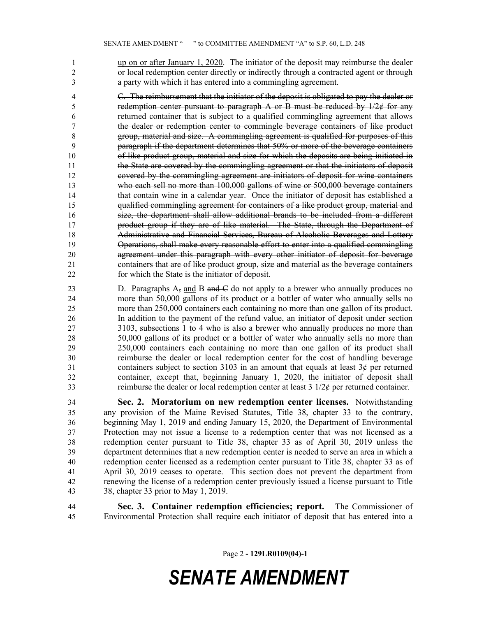1 up on or after January 1, 2020. The initiator of the deposit may reimburse the dealer or local redemption center directly or indirectly through a contracted agent or through a party with which it has entered into a commingling agreement.

 C. The reimbursement that the initiator of the deposit is obligated to pay the dealer or 5 redemption center pursuant to paragraph A or B must be reduced by  $1/2¢$  for any returned container that is subject to a qualified commingling agreement that allows the dealer or redemption center to commingle beverage containers of like product group, material and size. A commingling agreement is qualified for purposes of this paragraph if the department determines that 50% or more of the beverage containers of like product group, material and size for which the deposits are being initiated in the State are covered by the commingling agreement or that the initiators of deposit covered by the commingling agreement are initiators of deposit for wine containers who each sell no more than 100,000 gallons of wine or 500,000 beverage containers that contain wine in a calendar year. Once the initiator of deposit has established a qualified commingling agreement for containers of a like product group, material and size, the department shall allow additional brands to be included from a different product group if they are of like material. The State, through the Department of Administrative and Financial Services, Bureau of Alcoholic Beverages and Lottery Operations, shall make every reasonable effort to enter into a qualified commingling agreement under this paragraph with every other initiator of deposit for beverage containers that are of like product group, size and material as the beverage containers for which the State is the initiator of deposit.

23 D. Paragraphs  $A_7$  and B and C do not apply to a brewer who annually produces no more than 50,000 gallons of its product or a bottler of water who annually sells no more than 250,000 containers each containing no more than one gallon of its product. In addition to the payment of the refund value, an initiator of deposit under section 3103, subsections 1 to 4 who is also a brewer who annually produces no more than 50,000 gallons of its product or a bottler of water who annually sells no more than 250,000 containers each containing no more than one gallon of its product shall reimburse the dealer or local redemption center for the cost of handling beverage containers subject to section 3103 in an amount that equals at least 3¢ per returned container, except that, beginning January 1, 2020, the initiator of deposit shall 33 reimburse the dealer or local redemption center at least  $3 \frac{1}{2}$  per returned container.

 **Sec. 2. Moratorium on new redemption center licenses.** Notwithstanding any provision of the Maine Revised Statutes, Title 38, chapter 33 to the contrary, beginning May 1, 2019 and ending January 15, 2020, the Department of Environmental Protection may not issue a license to a redemption center that was not licensed as a redemption center pursuant to Title 38, chapter 33 as of April 30, 2019 unless the department determines that a new redemption center is needed to serve an area in which a redemption center licensed as a redemption center pursuant to Title 38, chapter 33 as of April 30, 2019 ceases to operate. This section does not prevent the department from renewing the license of a redemption center previously issued a license pursuant to Title 38, chapter 33 prior to May 1, 2019.

 **Sec. 3. Container redemption efficiencies; report.** The Commissioner of Environmental Protection shall require each initiator of deposit that has entered into a

Page 2 **- 129LR0109(04)-1**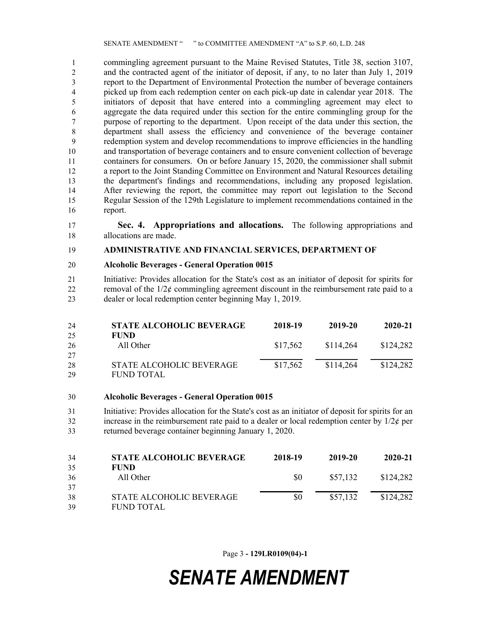commingling agreement pursuant to the Maine Revised Statutes, Title 38, section 3107, and the contracted agent of the initiator of deposit, if any, to no later than July 1, 2019 report to the Department of Environmental Protection the number of beverage containers picked up from each redemption center on each pick-up date in calendar year 2018. The initiators of deposit that have entered into a commingling agreement may elect to aggregate the data required under this section for the entire commingling group for the purpose of reporting to the department. Upon receipt of the data under this section, the department shall assess the efficiency and convenience of the beverage container redemption system and develop recommendations to improve efficiencies in the handling and transportation of beverage containers and to ensure convenient collection of beverage containers for consumers. On or before January 15, 2020, the commissioner shall submit a report to the Joint Standing Committee on Environment and Natural Resources detailing the department's findings and recommendations, including any proposed legislation. After reviewing the report, the committee may report out legislation to the Second Regular Session of the 129th Legislature to implement recommendations contained in the report.

 **Sec. 4. Appropriations and allocations.** The following appropriations and allocations are made.

#### **ADMINISTRATIVE AND FINANCIAL SERVICES, DEPARTMENT OF**

#### **Alcoholic Beverages - General Operation 0015**

 Initiative: Provides allocation for the State's cost as an initiator of deposit for spirits for 22 removal of the  $1/2\epsilon$  commingling agreement discount in the reimbursement rate paid to a dealer or local redemption center beginning May 1, 2019.

| 24 | <b>STATE ALCOHOLIC BEVERAGE</b> | 2018-19  | 2019-20   | 2020-21   |
|----|---------------------------------|----------|-----------|-----------|
| 25 | <b>FUND</b>                     |          |           |           |
| 26 | All Other                       | \$17.562 | \$114,264 | \$124,282 |
| 27 |                                 |          |           |           |
| 28 | <b>STATE ALCOHOLIC BEVERAGE</b> | \$17,562 | \$114,264 | \$124,282 |
| 29 | <b>FUND TOTAL</b>               |          |           |           |

**Alcoholic Beverages - General Operation 0015**

 Initiative: Provides allocation for the State's cost as an initiator of deposit for spirits for an 32 increase in the reimbursement rate paid to a dealer or local redemption center by  $1/2\ell$  per returned beverage container beginning January 1, 2020.

| 34 | <b>STATE ALCOHOLIC BEVERAGE</b> | 2018-19 | 2019-20  | 2020-21   |
|----|---------------------------------|---------|----------|-----------|
| 35 | <b>FUND</b>                     |         |          |           |
| 36 | All Other                       | SO.     | \$57,132 | \$124,282 |
| 37 |                                 |         |          |           |
| 38 | STATE ALCOHOLIC BEVERAGE        | \$0     | \$57,132 | \$124,282 |
| 39 | FUND TOTAL                      |         |          |           |

Page 3 **- 129LR0109(04)-1**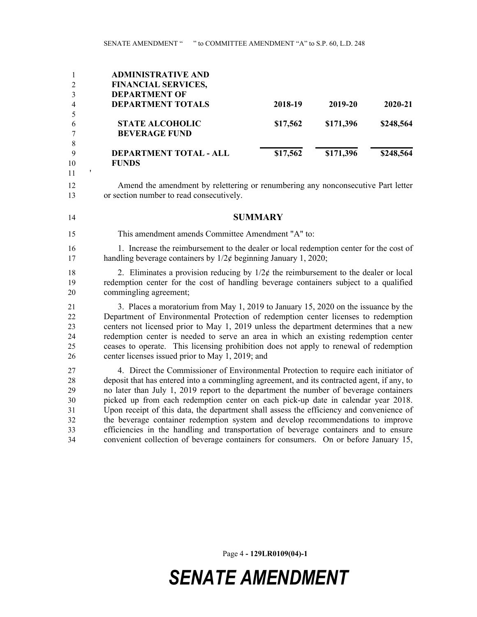|                | <b>ADMINISTRATIVE AND</b>     |          |           |           |
|----------------|-------------------------------|----------|-----------|-----------|
| 2              | <b>FINANCIAL SERVICES,</b>    |          |           |           |
|                | <b>DEPARTMENT OF</b>          |          |           |           |
| $\overline{4}$ | <b>DEPARTMENT TOTALS</b>      | 2018-19  | 2019-20   | 2020-21   |
|                |                               |          |           |           |
| 6              | <b>STATE ALCOHOLIC</b>        | \$17,562 | \$171,396 | \$248,564 |
|                | <b>BEVERAGE FUND</b>          |          |           |           |
| 8              |                               |          |           |           |
| 9              | <b>DEPARTMENT TOTAL - ALL</b> | \$17,562 | \$171,396 | \$248,564 |
| 10             | <b>FUNDS</b>                  |          |           |           |

'

 Amend the amendment by relettering or renumbering any nonconsecutive Part letter or section number to read consecutively.

#### **SUMMARY**

This amendment amends Committee Amendment "A" to:

16 1. Increase the reimbursement to the dealer or local redemption center for the cost of 17 handling beverage containers by  $1/2¢$  beginning January 1, 2020;

18 2. Eliminates a provision reducing by  $1/2\ell$  the reimbursement to the dealer or local redemption center for the cost of handling beverage containers subject to a qualified commingling agreement;

 3. Places a moratorium from May 1, 2019 to January 15, 2020 on the issuance by the Department of Environmental Protection of redemption center licenses to redemption centers not licensed prior to May 1, 2019 unless the department determines that a new redemption center is needed to serve an area in which an existing redemption center ceases to operate. This licensing prohibition does not apply to renewal of redemption center licenses issued prior to May 1, 2019; and

 4. Direct the Commissioner of Environmental Protection to require each initiator of deposit that has entered into a commingling agreement, and its contracted agent, if any, to no later than July 1, 2019 report to the department the number of beverage containers picked up from each redemption center on each pick-up date in calendar year 2018. Upon receipt of this data, the department shall assess the efficiency and convenience of the beverage container redemption system and develop recommendations to improve efficiencies in the handling and transportation of beverage containers and to ensure convenient collection of beverage containers for consumers. On or before January 15,

Page 4 **- 129LR0109(04)-1**